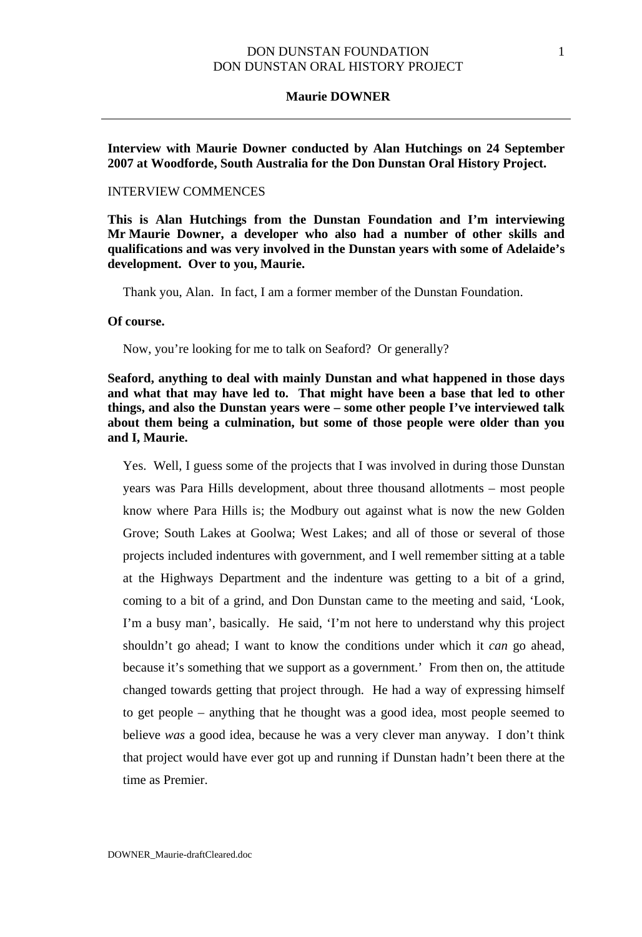#### **Maurie DOWNER**

**Interview with Maurie Downer conducted by Alan Hutchings on 24 September 2007 at Woodforde, South Australia for the Don Dunstan Oral History Project.** 

### INTERVIEW COMMENCES

**This is Alan Hutchings from the Dunstan Foundation and I'm interviewing Mr Maurie Downer, a developer who also had a number of other skills and qualifications and was very involved in the Dunstan years with some of Adelaide's development. Over to you, Maurie.** 

Thank you, Alan. In fact, I am a former member of the Dunstan Foundation.

### **Of course.**

Now, you're looking for me to talk on Seaford? Or generally?

**Seaford, anything to deal with mainly Dunstan and what happened in those days and what that may have led to. That might have been a base that led to other things, and also the Dunstan years were – some other people I've interviewed talk about them being a culmination, but some of those people were older than you and I, Maurie.**

Yes. Well, I guess some of the projects that I was involved in during those Dunstan years was Para Hills development, about three thousand allotments – most people know where Para Hills is; the Modbury out against what is now the new Golden Grove; South Lakes at Goolwa; West Lakes; and all of those or several of those projects included indentures with government, and I well remember sitting at a table at the Highways Department and the indenture was getting to a bit of a grind, coming to a bit of a grind, and Don Dunstan came to the meeting and said, 'Look, I'm a busy man', basically. He said, 'I'm not here to understand why this project shouldn't go ahead; I want to know the conditions under which it *can* go ahead, because it's something that we support as a government.' From then on, the attitude changed towards getting that project through. He had a way of expressing himself to get people – anything that he thought was a good idea, most people seemed to believe *was* a good idea, because he was a very clever man anyway. I don't think that project would have ever got up and running if Dunstan hadn't been there at the time as Premier.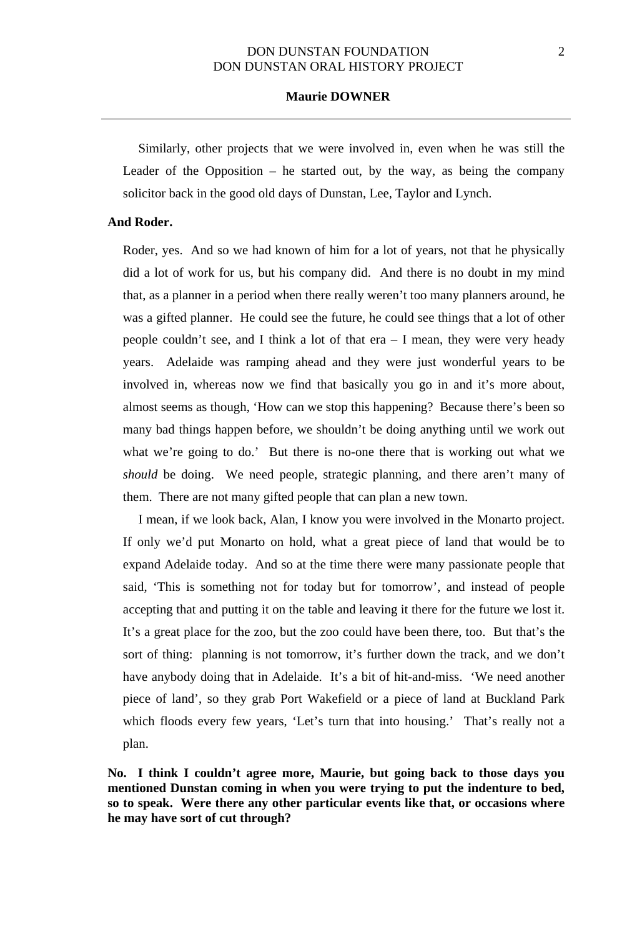### **Maurie DOWNER**

Similarly, other projects that we were involved in, even when he was still the Leader of the Opposition  $-$  he started out, by the way, as being the company solicitor back in the good old days of Dunstan, Lee, Taylor and Lynch.

### **And Roder.**

Roder, yes. And so we had known of him for a lot of years, not that he physically did a lot of work for us, but his company did. And there is no doubt in my mind that, as a planner in a period when there really weren't too many planners around, he was a gifted planner. He could see the future, he could see things that a lot of other people couldn't see, and I think a lot of that era – I mean, they were very heady years. Adelaide was ramping ahead and they were just wonderful years to be involved in, whereas now we find that basically you go in and it's more about, almost seems as though, 'How can we stop this happening? Because there's been so many bad things happen before, we shouldn't be doing anything until we work out what we're going to do.' But there is no-one there that is working out what we *should* be doing. We need people, strategic planning, and there aren't many of them. There are not many gifted people that can plan a new town.

I mean, if we look back, Alan, I know you were involved in the Monarto project. If only we'd put Monarto on hold, what a great piece of land that would be to expand Adelaide today. And so at the time there were many passionate people that said, 'This is something not for today but for tomorrow', and instead of people accepting that and putting it on the table and leaving it there for the future we lost it. It's a great place for the zoo, but the zoo could have been there, too. But that's the sort of thing: planning is not tomorrow, it's further down the track, and we don't have anybody doing that in Adelaide. It's a bit of hit-and-miss. 'We need another piece of land', so they grab Port Wakefield or a piece of land at Buckland Park which floods every few years, 'Let's turn that into housing.' That's really not a plan.

**No. I think I couldn't agree more, Maurie, but going back to those days you mentioned Dunstan coming in when you were trying to put the indenture to bed, so to speak. Were there any other particular events like that, or occasions where he may have sort of cut through?**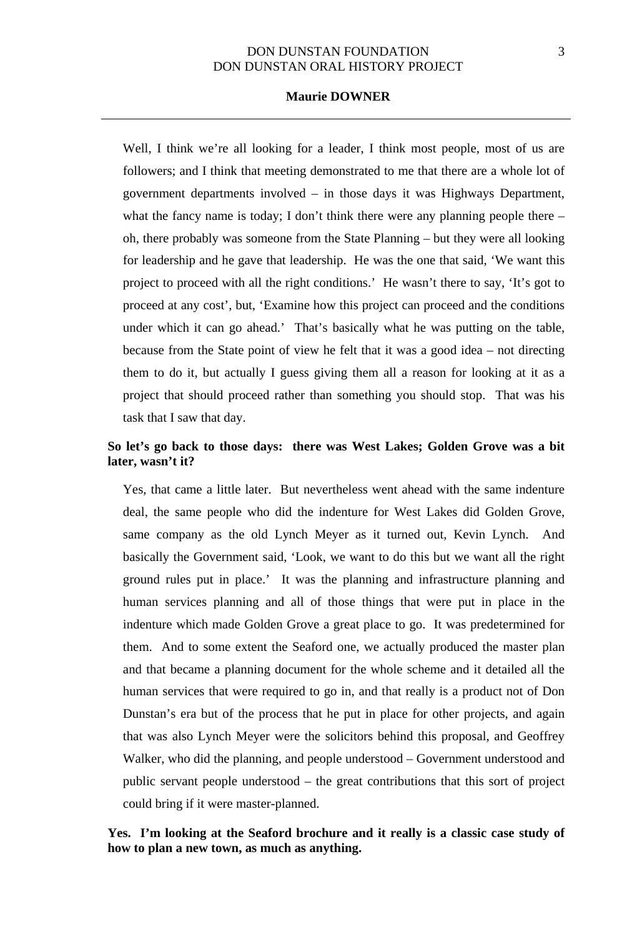### **Maurie DOWNER**

Well, I think we're all looking for a leader, I think most people, most of us are followers; and I think that meeting demonstrated to me that there are a whole lot of government departments involved – in those days it was Highways Department, what the fancy name is today; I don't think there were any planning people there – oh, there probably was someone from the State Planning – but they were all looking for leadership and he gave that leadership. He was the one that said, 'We want this project to proceed with all the right conditions.' He wasn't there to say, 'It's got to proceed at any cost', but, 'Examine how this project can proceed and the conditions under which it can go ahead.' That's basically what he was putting on the table, because from the State point of view he felt that it was a good idea – not directing them to do it, but actually I guess giving them all a reason for looking at it as a project that should proceed rather than something you should stop. That was his task that I saw that day.

# **So let's go back to those days: there was West Lakes; Golden Grove was a bit later, wasn't it?**

Yes, that came a little later. But nevertheless went ahead with the same indenture deal, the same people who did the indenture for West Lakes did Golden Grove, same company as the old Lynch Meyer as it turned out, Kevin Lynch. And basically the Government said, 'Look, we want to do this but we want all the right ground rules put in place.' It was the planning and infrastructure planning and human services planning and all of those things that were put in place in the indenture which made Golden Grove a great place to go. It was predetermined for them. And to some extent the Seaford one, we actually produced the master plan and that became a planning document for the whole scheme and it detailed all the human services that were required to go in, and that really is a product not of Don Dunstan's era but of the process that he put in place for other projects, and again that was also Lynch Meyer were the solicitors behind this proposal, and Geoffrey Walker, who did the planning, and people understood – Government understood and public servant people understood – the great contributions that this sort of project could bring if it were master-planned.

# **Yes. I'm looking at the Seaford brochure and it really is a classic case study of how to plan a new town, as much as anything.**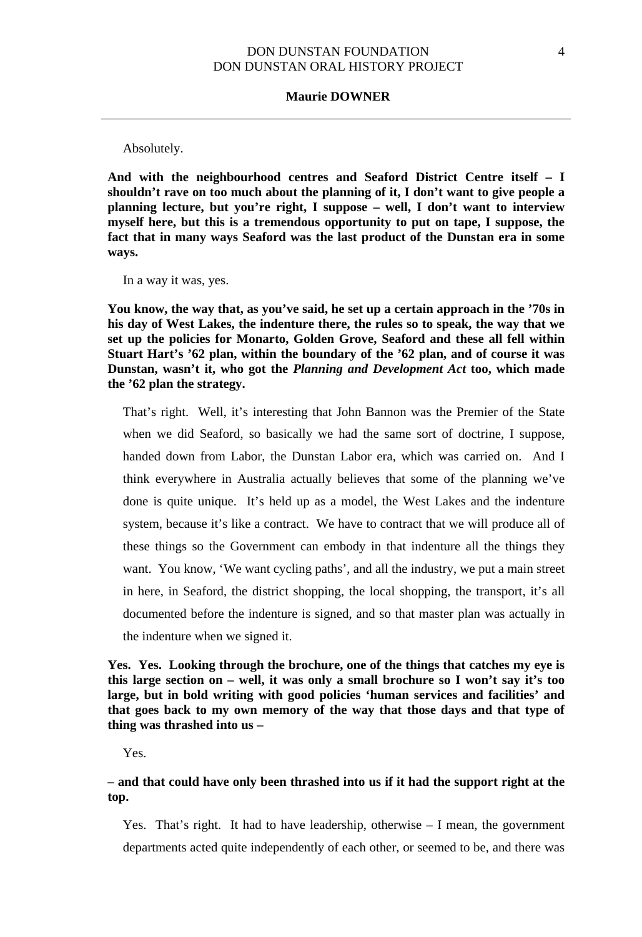#### **Maurie DOWNER**

Absolutely.

**And with the neighbourhood centres and Seaford District Centre itself – I shouldn't rave on too much about the planning of it, I don't want to give people a planning lecture, but you're right, I suppose – well, I don't want to interview myself here, but this is a tremendous opportunity to put on tape, I suppose, the fact that in many ways Seaford was the last product of the Dunstan era in some ways.**

In a way it was, yes.

**You know, the way that, as you've said, he set up a certain approach in the '70s in his day of West Lakes, the indenture there, the rules so to speak, the way that we set up the policies for Monarto, Golden Grove, Seaford and these all fell within Stuart Hart's '62 plan, within the boundary of the '62 plan, and of course it was Dunstan, wasn't it, who got the** *Planning and Development Act* **too, which made the '62 plan the strategy.**

That's right. Well, it's interesting that John Bannon was the Premier of the State when we did Seaford, so basically we had the same sort of doctrine, I suppose, handed down from Labor, the Dunstan Labor era, which was carried on. And I think everywhere in Australia actually believes that some of the planning we've done is quite unique. It's held up as a model, the West Lakes and the indenture system, because it's like a contract. We have to contract that we will produce all of these things so the Government can embody in that indenture all the things they want. You know, 'We want cycling paths', and all the industry, we put a main street in here, in Seaford, the district shopping, the local shopping, the transport, it's all documented before the indenture is signed, and so that master plan was actually in the indenture when we signed it.

**Yes. Yes. Looking through the brochure, one of the things that catches my eye is this large section on – well, it was only a small brochure so I won't say it's too large, but in bold writing with good policies 'human services and facilities' and that goes back to my own memory of the way that those days and that type of thing was thrashed into us –**

Yes.

# **– and that could have only been thrashed into us if it had the support right at the top.**

Yes. That's right. It had to have leadership, otherwise – I mean, the government departments acted quite independently of each other, or seemed to be, and there was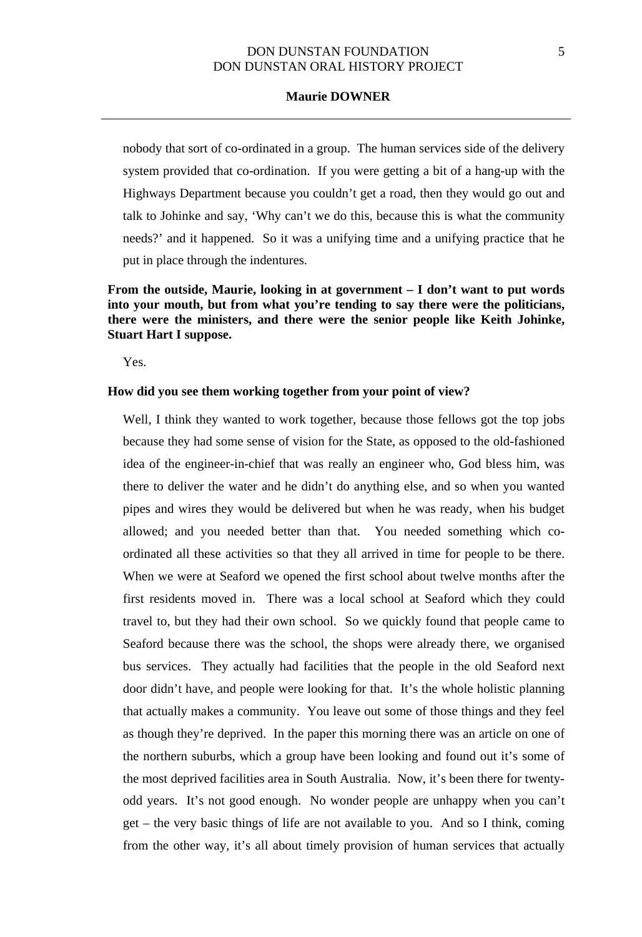### **Maurie DOWNER**

nobody that sort of co-ordinated in a group. The human services side of the delivery system provided that co-ordination. If you were getting a bit of a hang-up with the Highways Department because you couldn't get a road, then they would go out and talk to Johinke and say, 'Why can't we do this, because this is what the community needs?' and it happened. So it was a unifying time and a unifying practice that he put in place through the indentures.

# **From the outside, Maurie, looking in at government – I don't want to put words into your mouth, but from what you're tending to say there were the politicians, there were the ministers, and there were the senior people like Keith Johinke, Stuart Hart I suppose.**

Yes.

#### **How did you see them working together from your point of view?**

Well, I think they wanted to work together, because those fellows got the top jobs because they had some sense of vision for the State, as opposed to the old-fashioned idea of the engineer-in-chief that was really an engineer who, God bless him, was there to deliver the water and he didn't do anything else, and so when you wanted pipes and wires they would be delivered but when he was ready, when his budget allowed; and you needed better than that. You needed something which coordinated all these activities so that they all arrived in time for people to be there. When we were at Seaford we opened the first school about twelve months after the first residents moved in. There was a local school at Seaford which they could travel to, but they had their own school. So we quickly found that people came to Seaford because there was the school, the shops were already there, we organised bus services. They actually had facilities that the people in the old Seaford next door didn't have, and people were looking for that. It's the whole holistic planning that actually makes a community. You leave out some of those things and they feel as though they're deprived. In the paper this morning there was an article on one of the northern suburbs, which a group have been looking and found out it's some of the most deprived facilities area in South Australia. Now, it's been there for twentyodd years. It's not good enough. No wonder people are unhappy when you can't get – the very basic things of life are not available to you. And so I think, coming from the other way, it's all about timely provision of human services that actually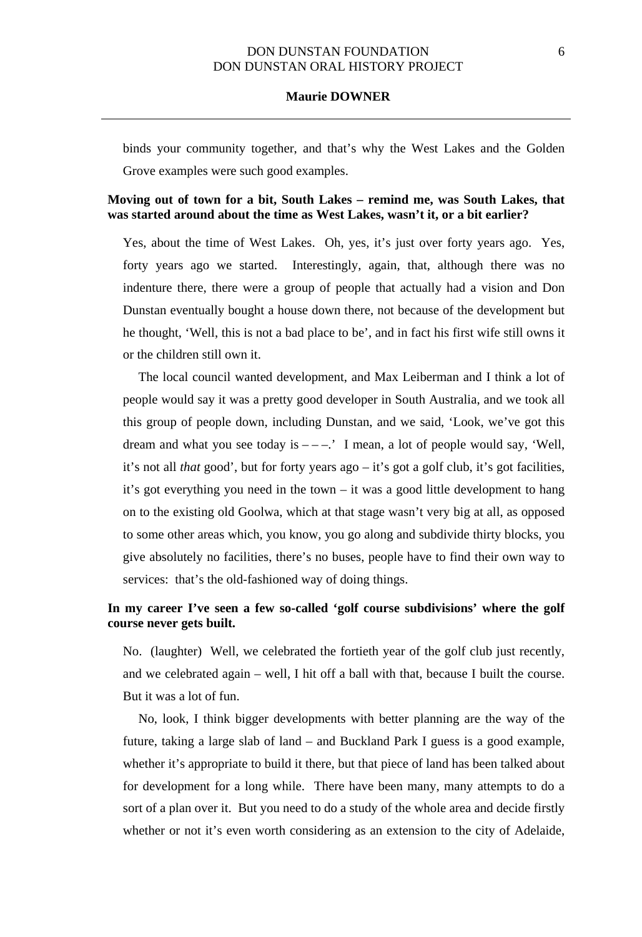### **Maurie DOWNER**

binds your community together, and that's why the West Lakes and the Golden Grove examples were such good examples.

### **Moving out of town for a bit, South Lakes – remind me, was South Lakes, that was started around about the time as West Lakes, wasn't it, or a bit earlier?**

Yes, about the time of West Lakes. Oh, yes, it's just over forty years ago. Yes, forty years ago we started. Interestingly, again, that, although there was no indenture there, there were a group of people that actually had a vision and Don Dunstan eventually bought a house down there, not because of the development but he thought, 'Well, this is not a bad place to be', and in fact his first wife still owns it or the children still own it.

The local council wanted development, and Max Leiberman and I think a lot of people would say it was a pretty good developer in South Australia, and we took all this group of people down, including Dunstan, and we said, 'Look, we've got this dream and what you see today is  $---$ .' I mean, a lot of people would say, 'Well, it's not all *that* good', but for forty years ago – it's got a golf club, it's got facilities, it's got everything you need in the town – it was a good little development to hang on to the existing old Goolwa, which at that stage wasn't very big at all, as opposed to some other areas which, you know, you go along and subdivide thirty blocks, you give absolutely no facilities, there's no buses, people have to find their own way to services: that's the old-fashioned way of doing things.

# **In my career I've seen a few so-called 'golf course subdivisions' where the golf course never gets built.**

No. (laughter) Well, we celebrated the fortieth year of the golf club just recently, and we celebrated again – well, I hit off a ball with that, because I built the course. But it was a lot of fun.

No, look, I think bigger developments with better planning are the way of the future, taking a large slab of land – and Buckland Park I guess is a good example, whether it's appropriate to build it there, but that piece of land has been talked about for development for a long while. There have been many, many attempts to do a sort of a plan over it. But you need to do a study of the whole area and decide firstly whether or not it's even worth considering as an extension to the city of Adelaide,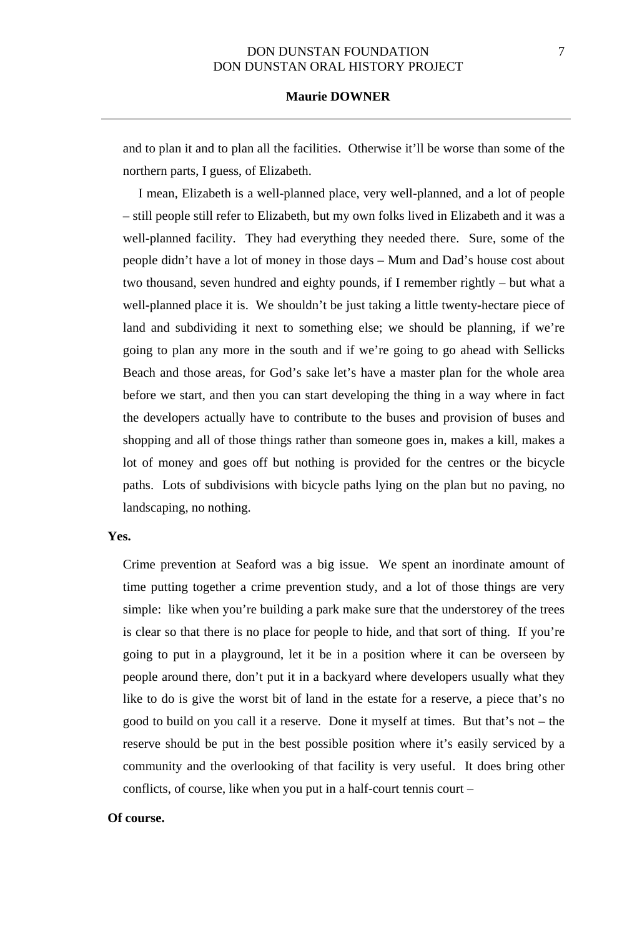and to plan it and to plan all the facilities. Otherwise it'll be worse than some of the northern parts, I guess, of Elizabeth.

I mean, Elizabeth is a well-planned place, very well-planned, and a lot of people – still people still refer to Elizabeth, but my own folks lived in Elizabeth and it was a well-planned facility. They had everything they needed there. Sure, some of the people didn't have a lot of money in those days – Mum and Dad's house cost about two thousand, seven hundred and eighty pounds, if I remember rightly – but what a well-planned place it is. We shouldn't be just taking a little twenty-hectare piece of land and subdividing it next to something else; we should be planning, if we're going to plan any more in the south and if we're going to go ahead with Sellicks Beach and those areas, for God's sake let's have a master plan for the whole area before we start, and then you can start developing the thing in a way where in fact the developers actually have to contribute to the buses and provision of buses and shopping and all of those things rather than someone goes in, makes a kill, makes a lot of money and goes off but nothing is provided for the centres or the bicycle paths. Lots of subdivisions with bicycle paths lying on the plan but no paving, no landscaping, no nothing.

### **Yes.**

Crime prevention at Seaford was a big issue. We spent an inordinate amount of time putting together a crime prevention study, and a lot of those things are very simple: like when you're building a park make sure that the understorey of the trees is clear so that there is no place for people to hide, and that sort of thing. If you're going to put in a playground, let it be in a position where it can be overseen by people around there, don't put it in a backyard where developers usually what they like to do is give the worst bit of land in the estate for a reserve, a piece that's no good to build on you call it a reserve. Done it myself at times. But that's not – the reserve should be put in the best possible position where it's easily serviced by a community and the overlooking of that facility is very useful. It does bring other conflicts, of course, like when you put in a half-court tennis court –

#### **Of course.**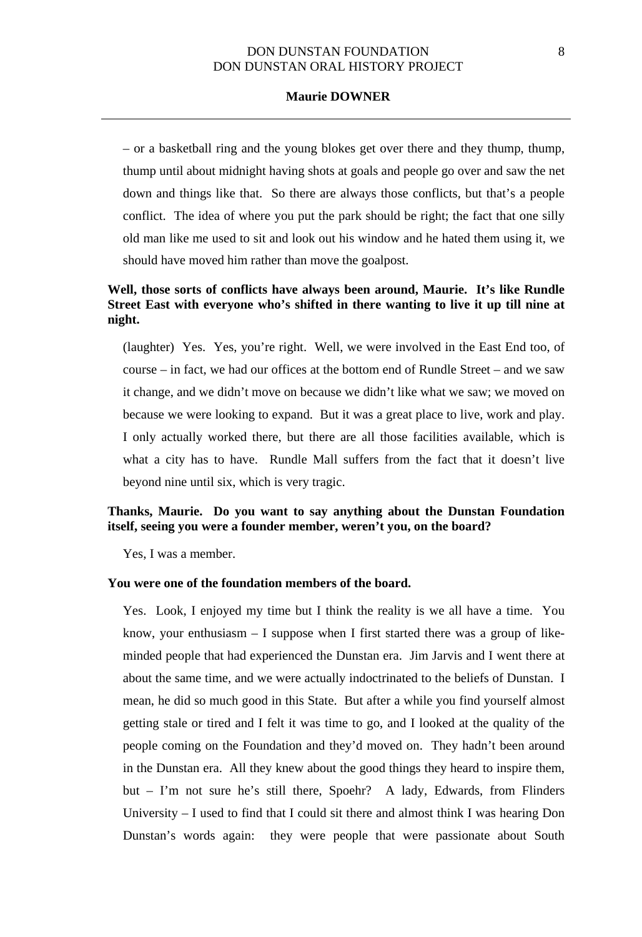### **Maurie DOWNER**

– or a basketball ring and the young blokes get over there and they thump, thump, thump until about midnight having shots at goals and people go over and saw the net down and things like that. So there are always those conflicts, but that's a people conflict. The idea of where you put the park should be right; the fact that one silly old man like me used to sit and look out his window and he hated them using it, we should have moved him rather than move the goalpost.

# **Well, those sorts of conflicts have always been around, Maurie. It's like Rundle Street East with everyone who's shifted in there wanting to live it up till nine at night.**

(laughter) Yes. Yes, you're right. Well, we were involved in the East End too, of course – in fact, we had our offices at the bottom end of Rundle Street – and we saw it change, and we didn't move on because we didn't like what we saw; we moved on because we were looking to expand. But it was a great place to live, work and play. I only actually worked there, but there are all those facilities available, which is what a city has to have. Rundle Mall suffers from the fact that it doesn't live beyond nine until six, which is very tragic.

# **Thanks, Maurie. Do you want to say anything about the Dunstan Foundation itself, seeing you were a founder member, weren't you, on the board?**

Yes, I was a member.

### **You were one of the foundation members of the board.**

Yes. Look, I enjoyed my time but I think the reality is we all have a time. You know, your enthusiasm  $-$  I suppose when I first started there was a group of likeminded people that had experienced the Dunstan era. Jim Jarvis and I went there at about the same time, and we were actually indoctrinated to the beliefs of Dunstan. I mean, he did so much good in this State. But after a while you find yourself almost getting stale or tired and I felt it was time to go, and I looked at the quality of the people coming on the Foundation and they'd moved on. They hadn't been around in the Dunstan era. All they knew about the good things they heard to inspire them, but – I'm not sure he's still there, Spoehr? A lady, Edwards, from Flinders University – I used to find that I could sit there and almost think I was hearing Don Dunstan's words again: they were people that were passionate about South